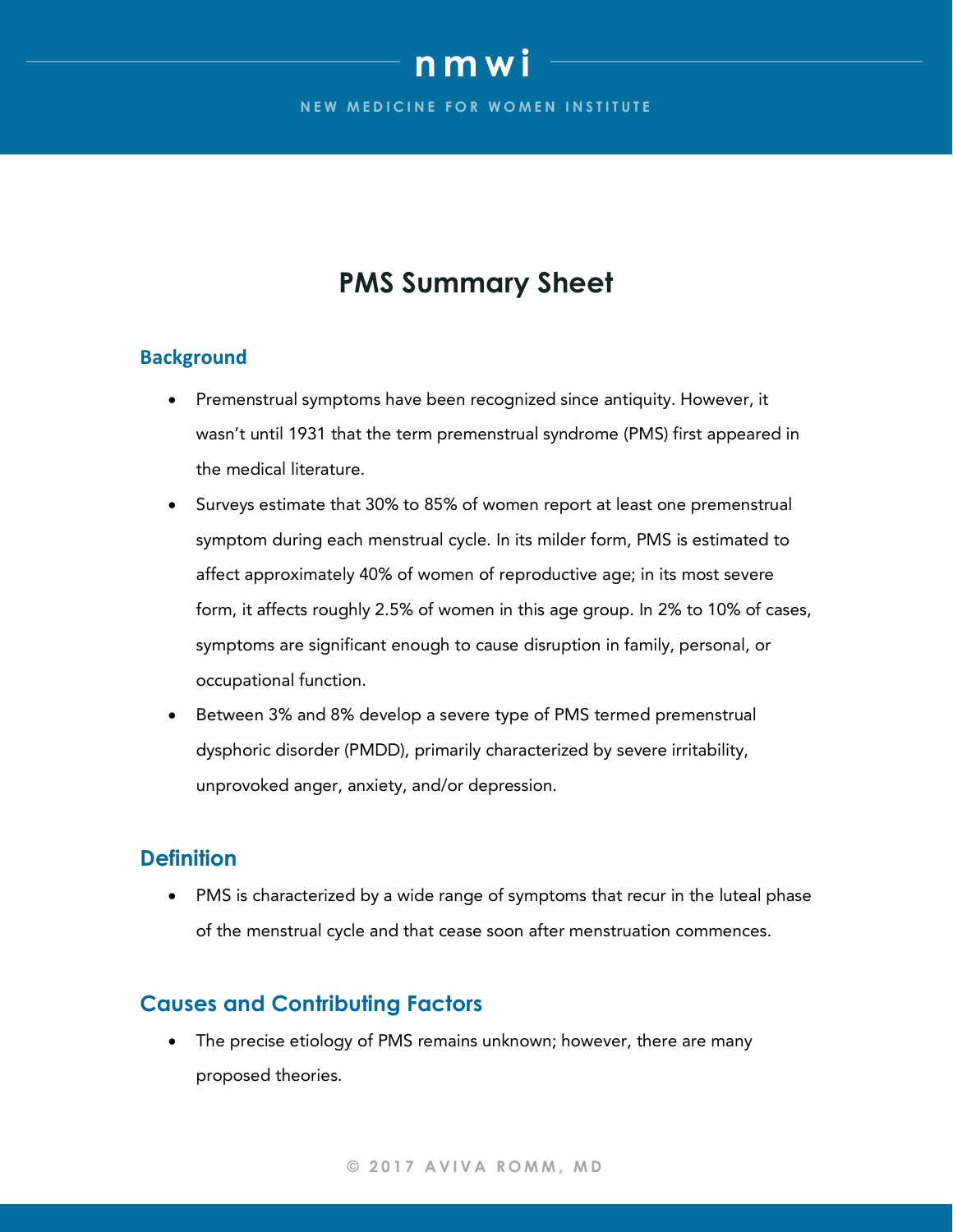# **nmwi**

**NEW MEDICINE FOR WOMEN INSTITUTE** 

## **PMS Summary Sheet**

#### **Background**

- Premenstrual symptoms have been recognized since antiquity. However, it wasn't until 1931 that the term premenstrual syndrome (PMS) first appeared in the medical literature.
- Surveys estimate that 30% to 85% of women report at least one premenstrual symptom during each menstrual cycle. In its milder form, PMS is estimated to affect approximately 40% of women of reproductive age; in its most severe form, it affects roughly 2.5% of women in this age group. In 2% to 10% of cases, symptoms are significant enough to cause disruption in family, personal, or occupational function.
- Between 3% and 8% develop a severe type of PMS termed premenstrual dysphoric disorder (PMDD), primarily characterized by severe irritability, unprovoked anger, anxiety, and/or depression.

### **Definition**

• PMS is characterized by a wide range of symptoms that recur in the luteal phase of the menstrual cycle and that cease soon after menstruation commences.

## **Causes and Contributing Factors**

• The precise etiology of PMS remains unknown; however, there are many proposed theories.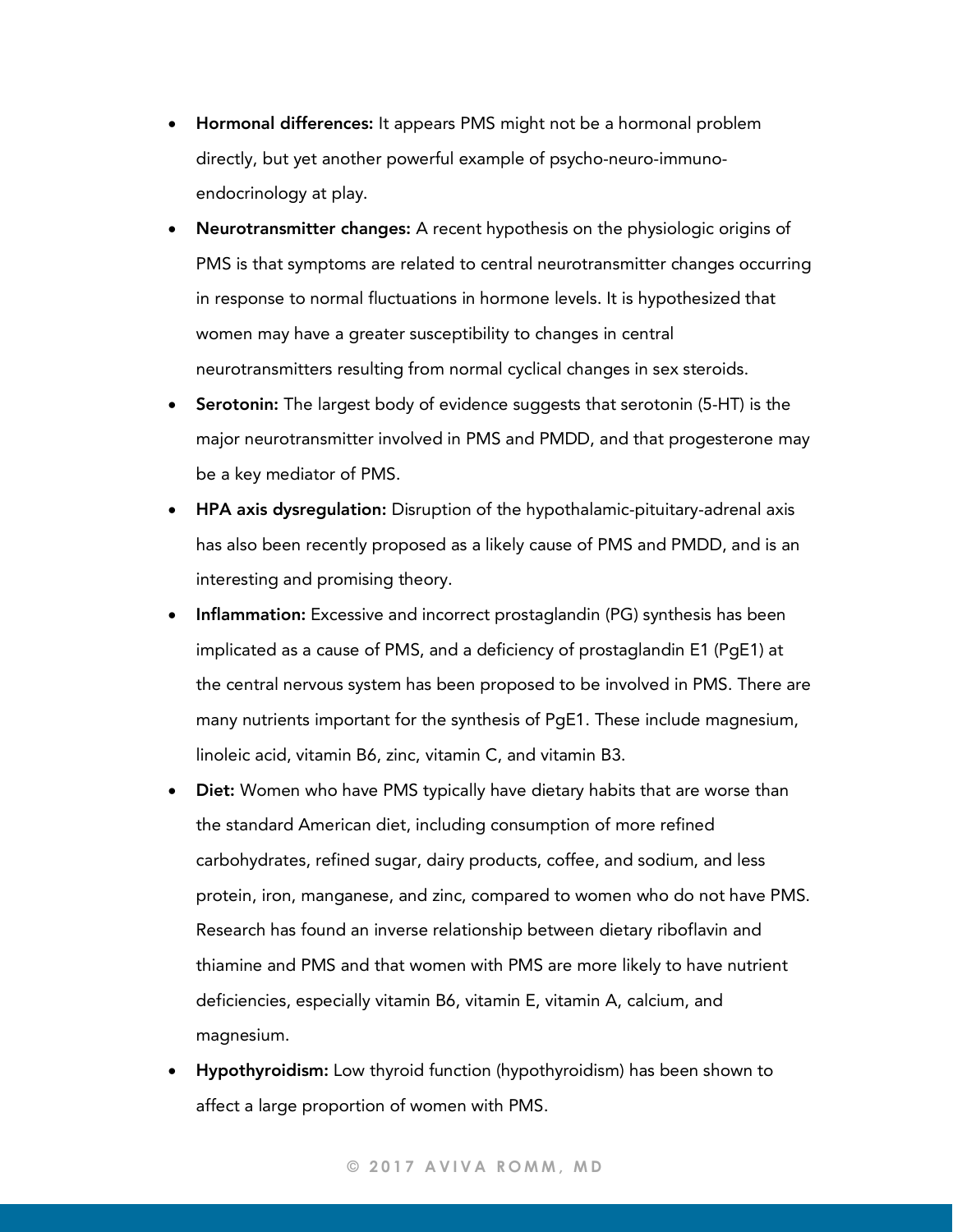- Hormonal differences: It appears PMS might not be a hormonal problem directly, but yet another powerful example of psycho-neuro-immunoendocrinology at play.
- Neurotransmitter changes: A recent hypothesis on the physiologic origins of PMS is that symptoms are related to central neurotransmitter changes occurring in response to normal fluctuations in hormone levels. It is hypothesized that women may have a greater susceptibility to changes in central neurotransmitters resulting from normal cyclical changes in sex steroids.
- Serotonin: The largest body of evidence suggests that serotonin (5-HT) is the major neurotransmitter involved in PMS and PMDD, and that progesterone may be a key mediator of PMS.
- HPA axis dysregulation: Disruption of the hypothalamic-pituitary-adrenal axis has also been recently proposed as a likely cause of PMS and PMDD, and is an interesting and promising theory.
- Inflammation: Excessive and incorrect prostaglandin (PG) synthesis has been implicated as a cause of PMS, and a deficiency of prostaglandin E1 (PgE1) at the central nervous system has been proposed to be involved in PMS. There are many nutrients important for the synthesis of PgE1. These include magnesium, linoleic acid, vitamin B6, zinc, vitamin C, and vitamin B3.
- **Diet:** Women who have PMS typically have dietary habits that are worse than the standard American diet, including consumption of more refined carbohydrates, refined sugar, dairy products, coffee, and sodium, and less protein, iron, manganese, and zinc, compared to women who do not have PMS. Research has found an inverse relationship between dietary riboflavin and thiamine and PMS and that women with PMS are more likely to have nutrient deficiencies, especially vitamin B6, vitamin E, vitamin A, calcium, and magnesium.
- **Hypothyroidism:** Low thyroid function (hypothyroidism) has been shown to affect a large proportion of women with PMS.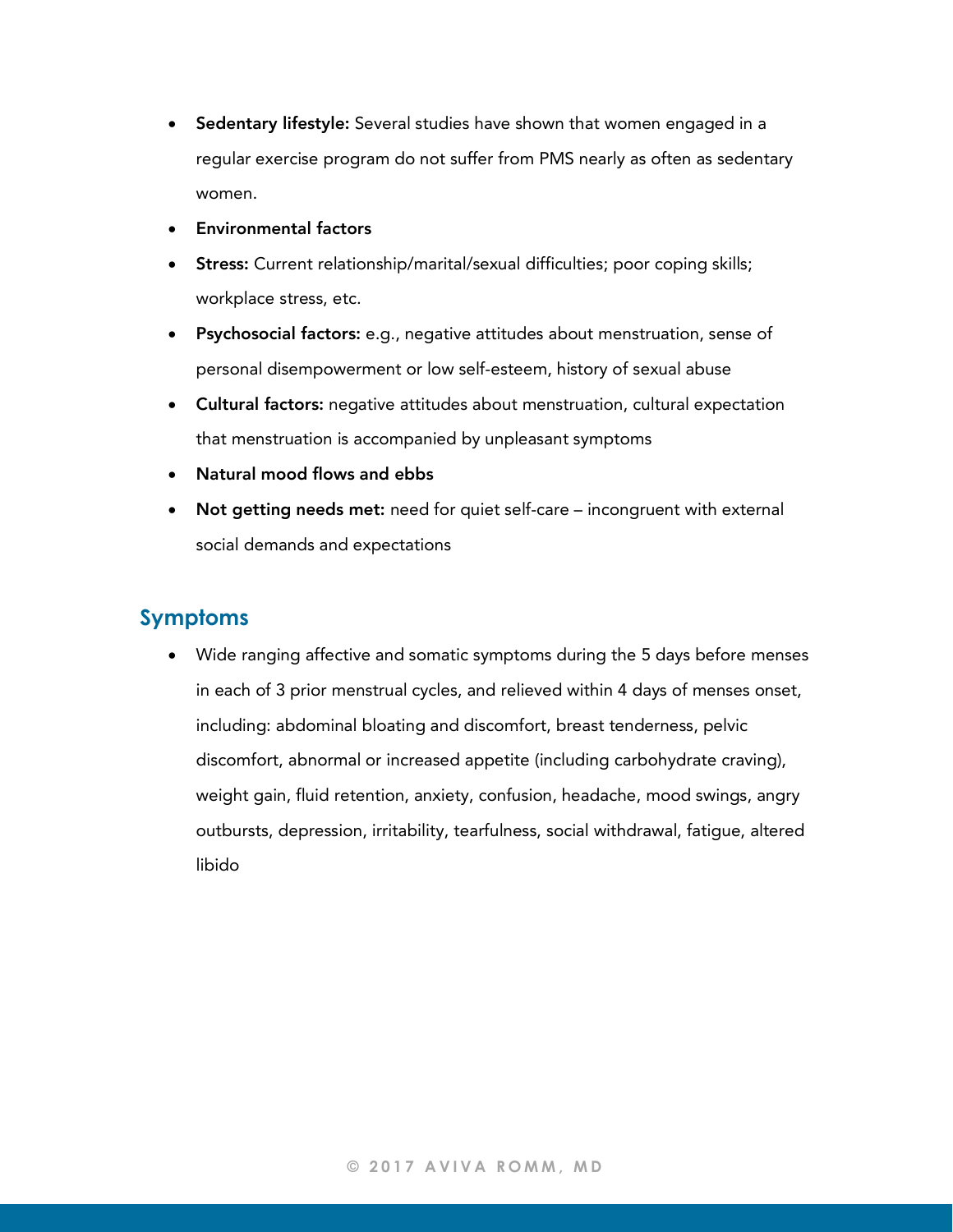- Sedentary lifestyle: Several studies have shown that women engaged in a regular exercise program do not suffer from PMS nearly as often as sedentary women.
- Environmental factors
- Stress: Current relationship/marital/sexual difficulties; poor coping skills; workplace stress, etc.
- Psychosocial factors: e.g., negative attitudes about menstruation, sense of personal disempowerment or low self-esteem, history of sexual abuse
- Cultural factors: negative attitudes about menstruation, cultural expectation that menstruation is accompanied by unpleasant symptoms
- Natural mood flows and ebbs
- Not getting needs met: need for quiet self-care incongruent with external social demands and expectations

## **Symptoms**

• Wide ranging affective and somatic symptoms during the 5 days before menses in each of 3 prior menstrual cycles, and relieved within 4 days of menses onset, including: abdominal bloating and discomfort, breast tenderness, pelvic discomfort, abnormal or increased appetite (including carbohydrate craving), weight gain, fluid retention, anxiety, confusion, headache, mood swings, angry outbursts, depression, irritability, tearfulness, social withdrawal, fatigue, altered libido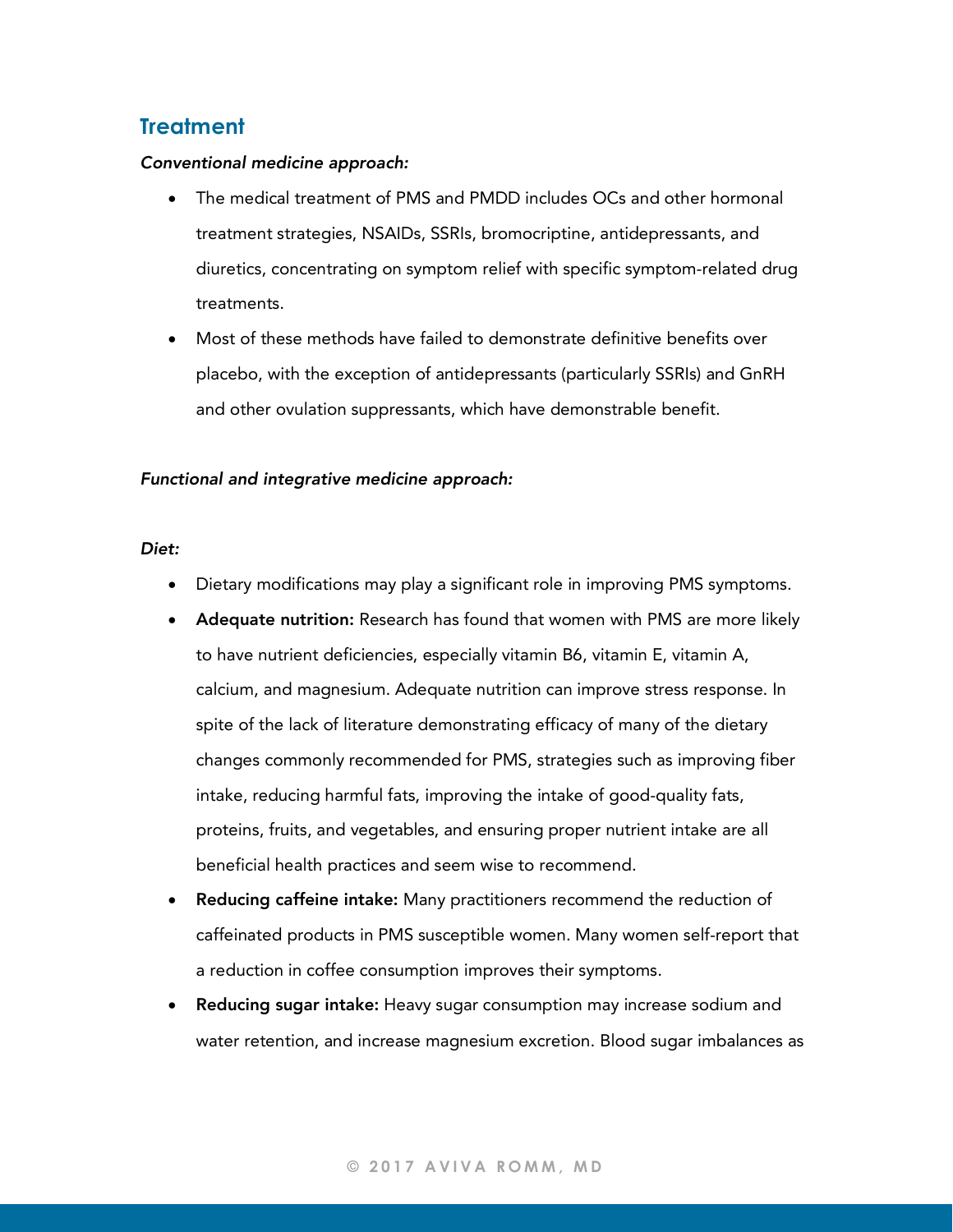## **Treatment**

#### *Conventional medicine approach:*

- The medical treatment of PMS and PMDD includes OCs and other hormonal treatment strategies, NSAIDs, SSRIs, bromocriptine, antidepressants, and diuretics, concentrating on symptom relief with specific symptom-related drug treatments.
- Most of these methods have failed to demonstrate definitive benefits over placebo, with the exception of antidepressants (particularly SSRIs) and GnRH and other ovulation suppressants, which have demonstrable benefit.

#### *Functional and integrative medicine approach:*

#### *Diet:*

- Dietary modifications may play a significant role in improving PMS symptoms.
- Adequate nutrition: Research has found that women with PMS are more likely to have nutrient deficiencies, especially vitamin B6, vitamin E, vitamin A, calcium, and magnesium. Adequate nutrition can improve stress response. In spite of the lack of literature demonstrating efficacy of many of the dietary changes commonly recommended for PMS, strategies such as improving fiber intake, reducing harmful fats, improving the intake of good-quality fats, proteins, fruits, and vegetables, and ensuring proper nutrient intake are all beneficial health practices and seem wise to recommend.
- Reducing caffeine intake: Many practitioners recommend the reduction of caffeinated products in PMS susceptible women. Many women self-report that a reduction in coffee consumption improves their symptoms.
- Reducing sugar intake: Heavy sugar consumption may increase sodium and water retention, and increase magnesium excretion. Blood sugar imbalances as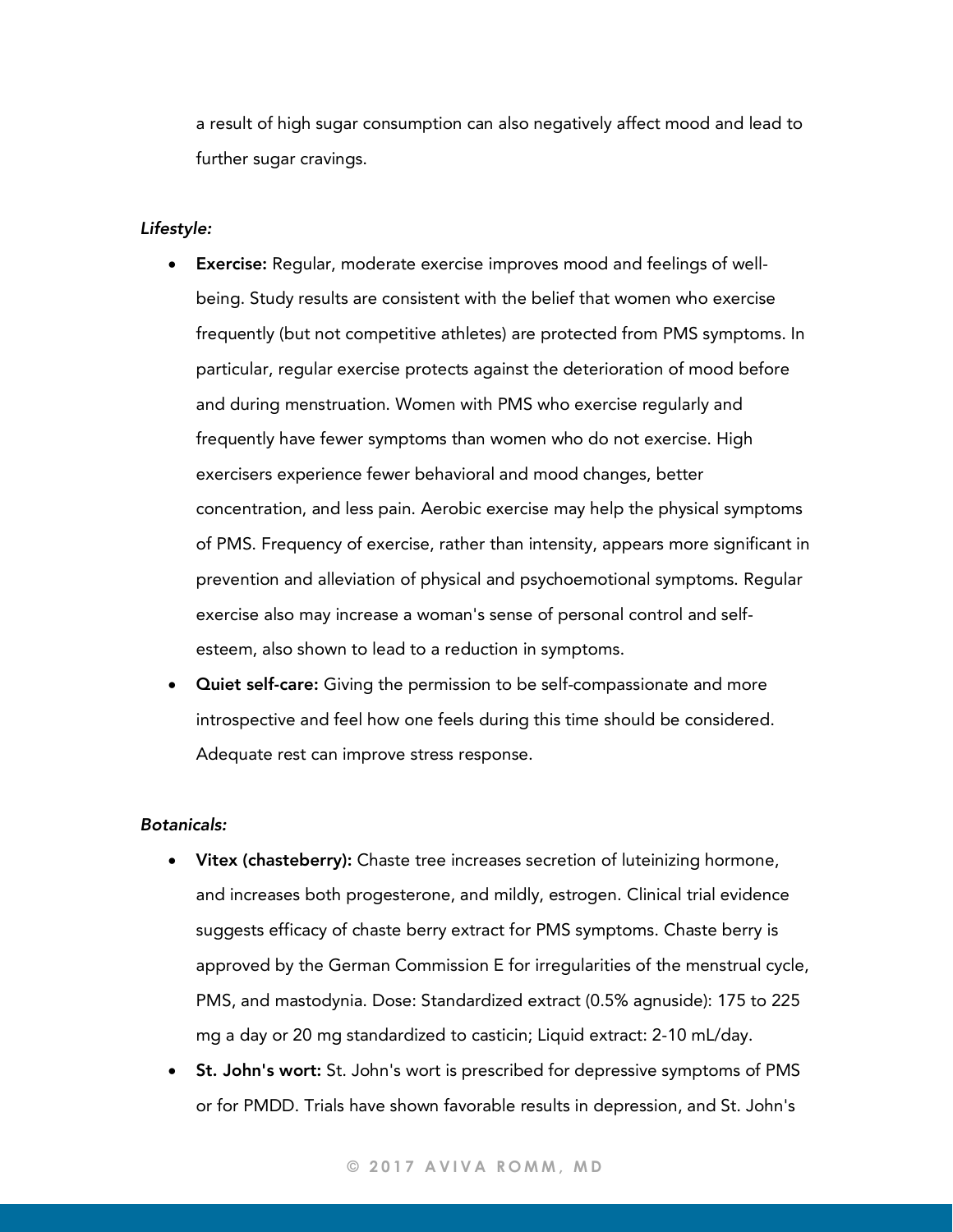a result of high sugar consumption can also negatively affect mood and lead to further sugar cravings.

#### *Lifestyle:*

- Exercise: Regular, moderate exercise improves mood and feelings of wellbeing. Study results are consistent with the belief that women who exercise frequently (but not competitive athletes) are protected from PMS symptoms. In particular, regular exercise protects against the deterioration of mood before and during menstruation. Women with PMS who exercise regularly and frequently have fewer symptoms than women who do not exercise. High exercisers experience fewer behavioral and mood changes, better concentration, and less pain. Aerobic exercise may help the physical symptoms of PMS. Frequency of exercise, rather than intensity, appears more significant in prevention and alleviation of physical and psychoemotional symptoms. Regular exercise also may increase a woman's sense of personal control and selfesteem, also shown to lead to a reduction in symptoms.
- **Quiet self-care:** Giving the permission to be self-compassionate and more introspective and feel how one feels during this time should be considered. Adequate rest can improve stress response.

#### *Botanicals:*

- Vitex (chasteberry): Chaste tree increases secretion of luteinizing hormone, and increases both progesterone, and mildly, estrogen. Clinical trial evidence suggests efficacy of chaste berry extract for PMS symptoms. Chaste berry is approved by the German Commission E for irregularities of the menstrual cycle, PMS, and mastodynia. Dose: Standardized extract (0.5% agnuside): 175 to 225 mg a day or 20 mg standardized to casticin; Liquid extract: 2-10 mL/day.
- St. John's wort: St. John's wort is prescribed for depressive symptoms of PMS or for PMDD. Trials have shown favorable results in depression, and St. John's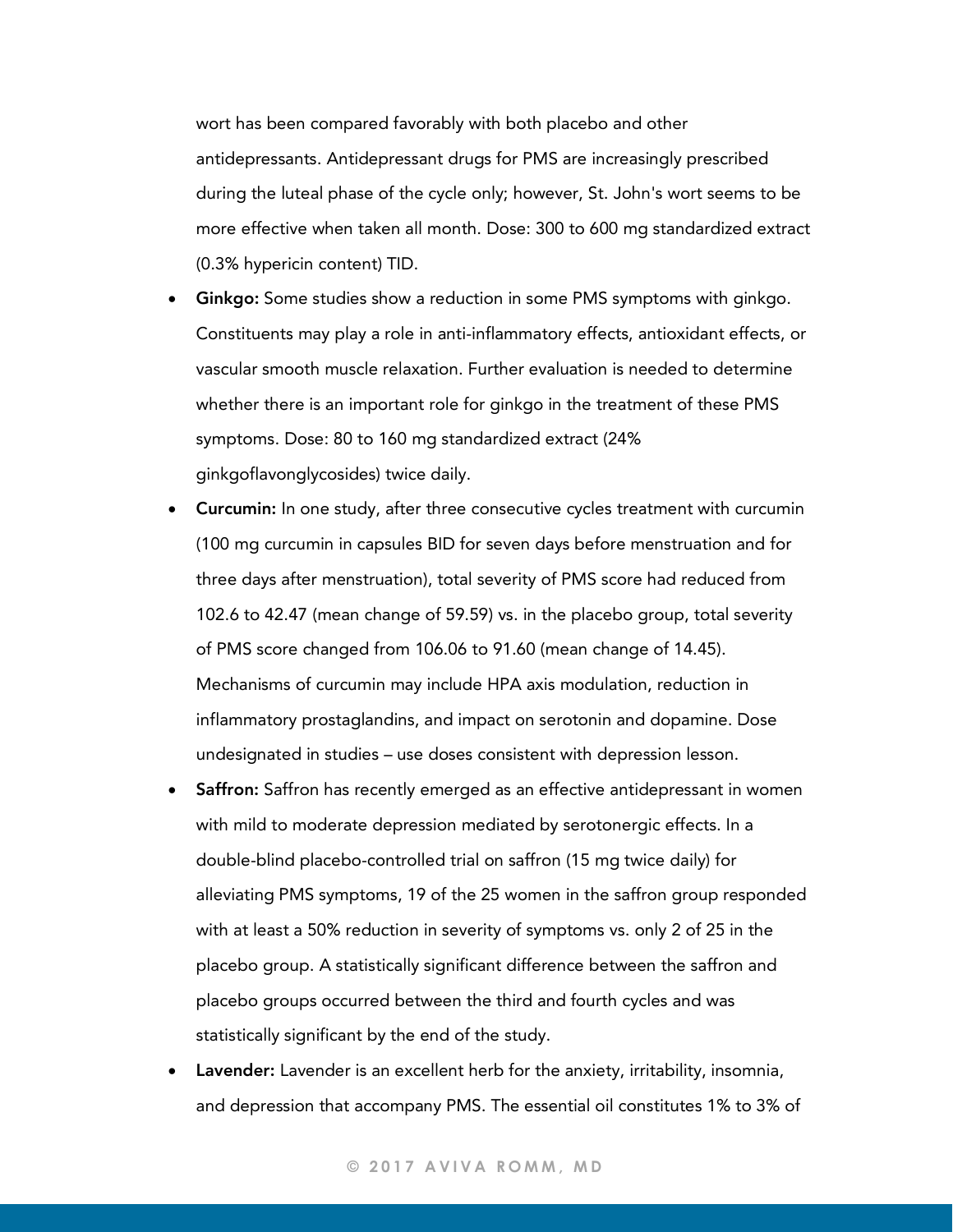wort has been compared favorably with both placebo and other antidepressants. Antidepressant drugs for PMS are increasingly prescribed during the luteal phase of the cycle only; however, St. John's wort seems to be more effective when taken all month. Dose: 300 to 600 mg standardized extract (0.3% hypericin content) TID.

- Ginkgo: Some studies show a reduction in some PMS symptoms with ginkgo. Constituents may play a role in anti-inflammatory effects, antioxidant effects, or vascular smooth muscle relaxation. Further evaluation is needed to determine whether there is an important role for ginkgo in the treatment of these PMS symptoms. Dose: 80 to 160 mg standardized extract (24% ginkgoflavonglycosides) twice daily.
- **Curcumin:** In one study, after three consecutive cycles treatment with curcumin (100 mg curcumin in capsules BID for seven days before menstruation and for three days after menstruation), total severity of PMS score had reduced from 102.6 to 42.47 (mean change of 59.59) vs. in the placebo group, total severity of PMS score changed from 106.06 to 91.60 (mean change of 14.45). Mechanisms of curcumin may include HPA axis modulation, reduction in inflammatory prostaglandins, and impact on serotonin and dopamine. Dose undesignated in studies – use doses consistent with depression lesson.
- **Saffron:** Saffron has recently emerged as an effective antidepressant in women with mild to moderate depression mediated by serotonergic effects. In a double-blind placebo-controlled trial on saffron (15 mg twice daily) for alleviating PMS symptoms, 19 of the 25 women in the saffron group responded with at least a 50% reduction in severity of symptoms vs. only 2 of 25 in the placebo group. A statistically significant difference between the saffron and placebo groups occurred between the third and fourth cycles and was statistically significant by the end of the study.
- Lavender: Lavender is an excellent herb for the anxiety, irritability, insomnia, and depression that accompany PMS. The essential oil constitutes 1% to 3% of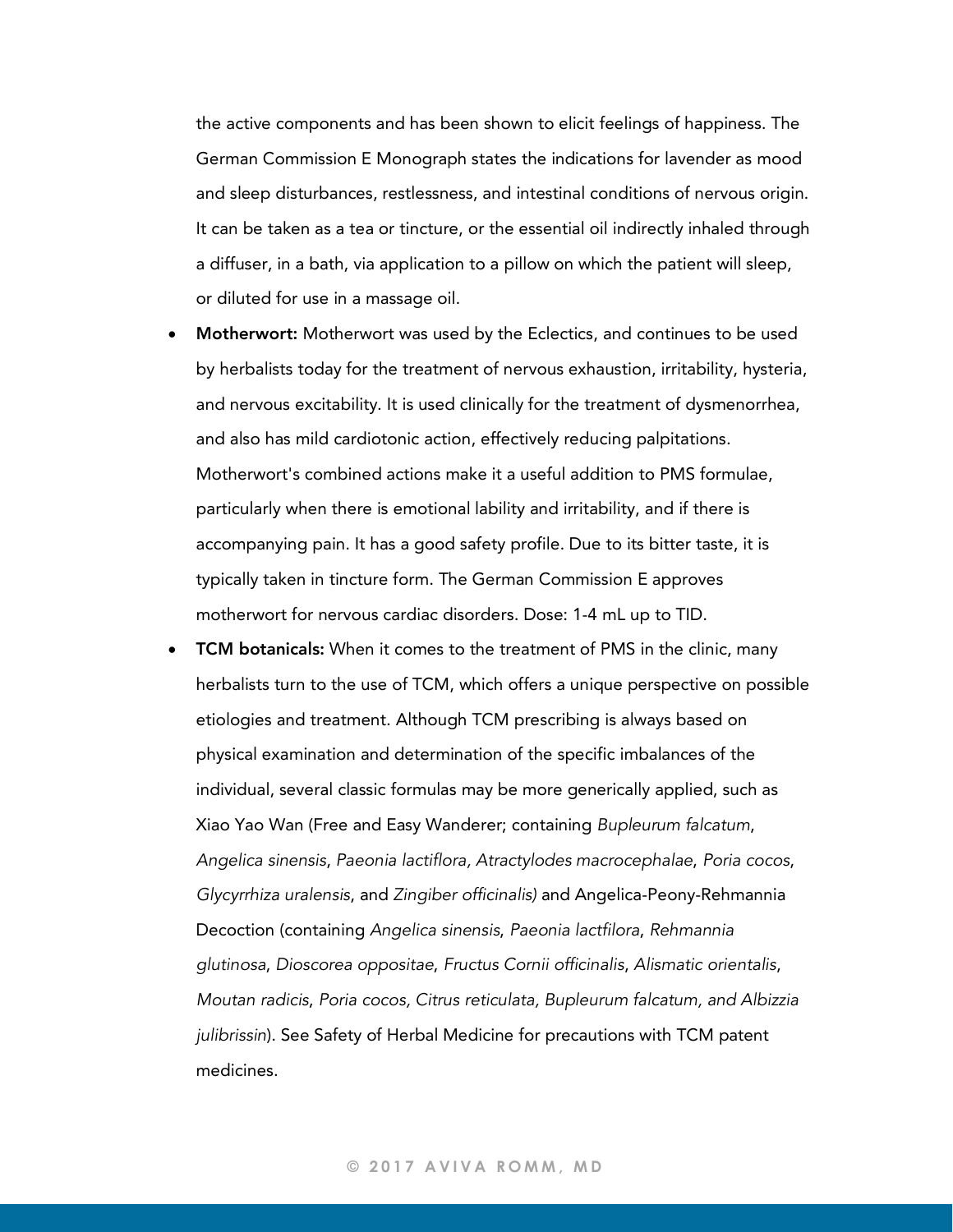the active components and has been shown to elicit feelings of happiness. The German Commission E Monograph states the indications for lavender as mood and sleep disturbances, restlessness, and intestinal conditions of nervous origin. It can be taken as a tea or tincture, or the essential oil indirectly inhaled through a diffuser, in a bath, via application to a pillow on which the patient will sleep, or diluted for use in a massage oil.

- Motherwort: Motherwort was used by the Eclectics, and continues to be used by herbalists today for the treatment of nervous exhaustion, irritability, hysteria, and nervous excitability. It is used clinically for the treatment of dysmenorrhea, and also has mild cardiotonic action, effectively reducing palpitations. Motherwort's combined actions make it a useful addition to PMS formulae, particularly when there is emotional lability and irritability, and if there is accompanying pain. It has a good safety profile. Due to its bitter taste, it is typically taken in tincture form. The German Commission E approves motherwort for nervous cardiac disorders. Dose: 1-4 mL up to TID.
- TCM botanicals: When it comes to the treatment of PMS in the clinic, many herbalists turn to the use of TCM, which offers a unique perspective on possible etiologies and treatment. Although TCM prescribing is always based on physical examination and determination of the specific imbalances of the individual, several classic formulas may be more generically applied, such as Xiao Yao Wan (Free and Easy Wanderer; containing *Bupleurum falcatum*, *Angelica sinensis*, *Paeonia lactiflora, Atractylodes macrocephalae*, *Poria cocos*, *Glycyrrhiza uralensis*, and *Zingiber officinalis)* and Angelica-Peony-Rehmannia Decoction (containing *Angelica sinensis*, *Paeonia lactfilora*, *Rehmannia glutinosa*, *Dioscorea oppositae*, *Fructus Cornii officinalis*, *Alismatic orientalis*, *Moutan radicis*, *Poria cocos, Citrus reticulata, Bupleurum falcatum, and Albizzia julibrissin*). See Safety of Herbal Medicine for precautions with TCM patent medicines.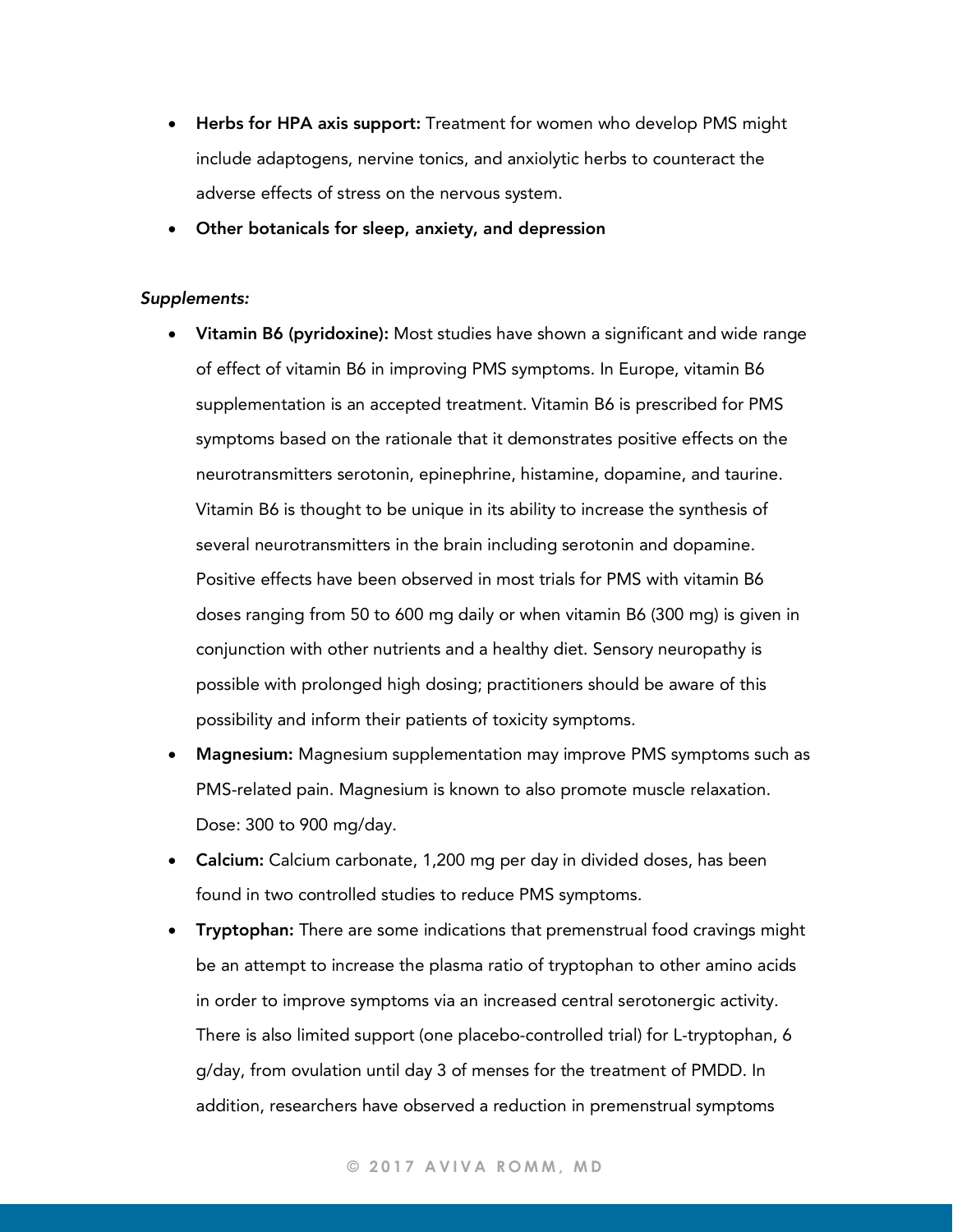- Herbs for HPA axis support: Treatment for women who develop PMS might include adaptogens, nervine tonics, and anxiolytic herbs to counteract the adverse effects of stress on the nervous system.
- Other botanicals for sleep, anxiety, and depression

#### *Supplements:*

- Vitamin B6 (pyridoxine): Most studies have shown a significant and wide range of effect of vitamin B6 in improving PMS symptoms. In Europe, vitamin B6 supplementation is an accepted treatment. Vitamin B6 is prescribed for PMS symptoms based on the rationale that it demonstrates positive effects on the neurotransmitters serotonin, epinephrine, histamine, dopamine, and taurine. Vitamin B6 is thought to be unique in its ability to increase the synthesis of several neurotransmitters in the brain including serotonin and dopamine. Positive effects have been observed in most trials for PMS with vitamin B6 doses ranging from 50 to 600 mg daily or when vitamin B6 (300 mg) is given in conjunction with other nutrients and a healthy diet. Sensory neuropathy is possible with prolonged high dosing; practitioners should be aware of this possibility and inform their patients of toxicity symptoms.
- **Magnesium:** Magnesium supplementation may improve PMS symptoms such as PMS-related pain. Magnesium is known to also promote muscle relaxation. Dose: 300 to 900 mg/day.
- Calcium: Calcium carbonate, 1,200 mg per day in divided doses, has been found in two controlled studies to reduce PMS symptoms.
- Tryptophan: There are some indications that premenstrual food cravings might be an attempt to increase the plasma ratio of tryptophan to other amino acids in order to improve symptoms via an increased central serotonergic activity. There is also limited support (one placebo-controlled trial) for L-tryptophan, 6 g/day, from ovulation until day 3 of menses for the treatment of PMDD. In addition, researchers have observed a reduction in premenstrual symptoms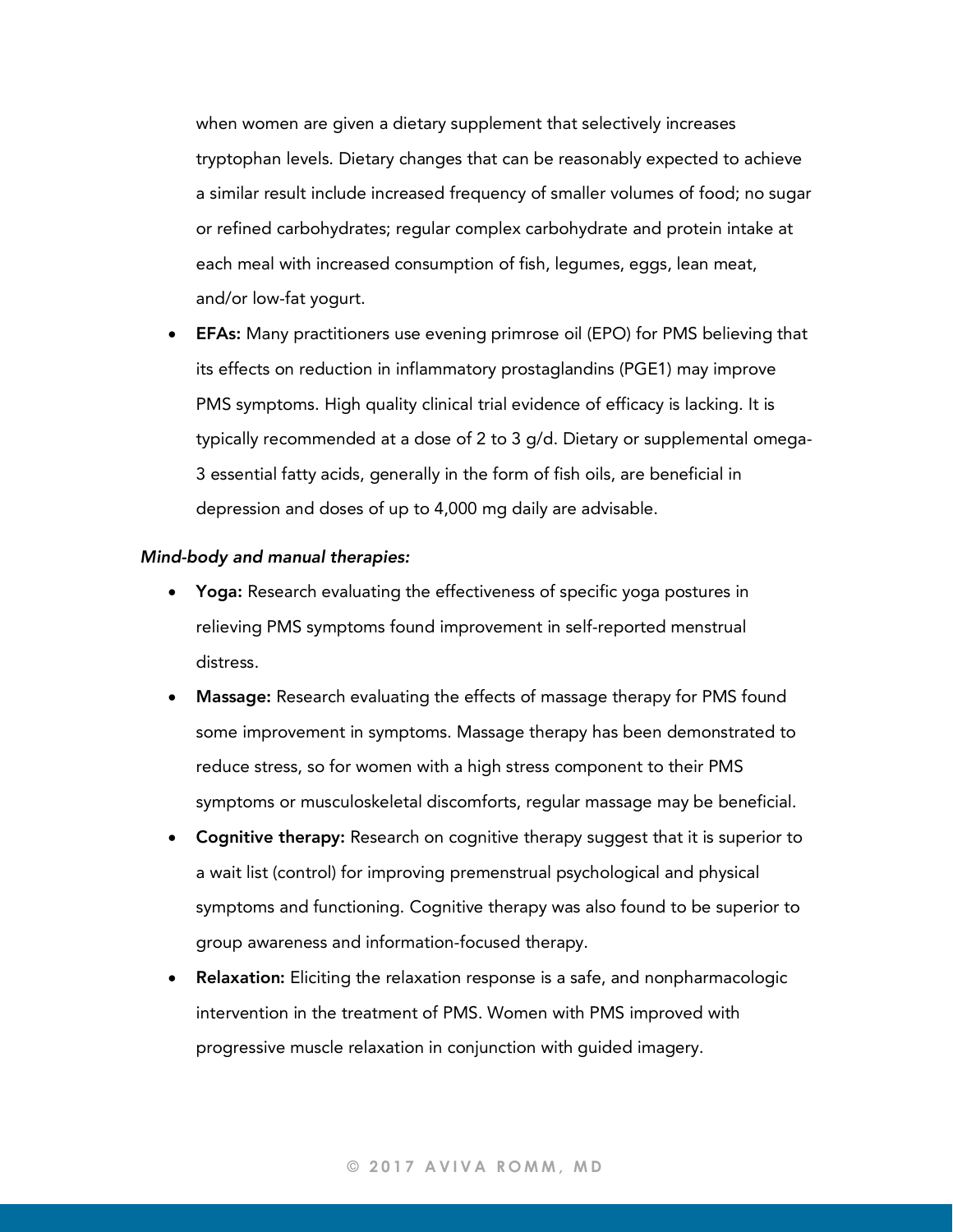when women are given a dietary supplement that selectively increases tryptophan levels. Dietary changes that can be reasonably expected to achieve a similar result include increased frequency of smaller volumes of food; no sugar or refined carbohydrates; regular complex carbohydrate and protein intake at each meal with increased consumption of fish, legumes, eggs, lean meat, and/or low-fat yogurt.

**EFAs:** Many practitioners use evening primrose oil (EPO) for PMS believing that its effects on reduction in inflammatory prostaglandins (PGE1) may improve PMS symptoms. High quality clinical trial evidence of efficacy is lacking. It is typically recommended at a dose of 2 to 3 g/d. Dietary or supplemental omega-3 essential fatty acids, generally in the form of fish oils, are beneficial in depression and doses of up to 4,000 mg daily are advisable.

#### *Mind-body and manual therapies:*

- Yoga: Research evaluating the effectiveness of specific yoga postures in relieving PMS symptoms found improvement in self-reported menstrual distress.
- Massage: Research evaluating the effects of massage therapy for PMS found some improvement in symptoms. Massage therapy has been demonstrated to reduce stress, so for women with a high stress component to their PMS symptoms or musculoskeletal discomforts, regular massage may be beneficial.
- Cognitive therapy: Research on cognitive therapy suggest that it is superior to a wait list (control) for improving premenstrual psychological and physical symptoms and functioning. Cognitive therapy was also found to be superior to group awareness and information-focused therapy.
- Relaxation: Eliciting the relaxation response is a safe, and nonpharmacologic intervention in the treatment of PMS. Women with PMS improved with progressive muscle relaxation in conjunction with guided imagery.